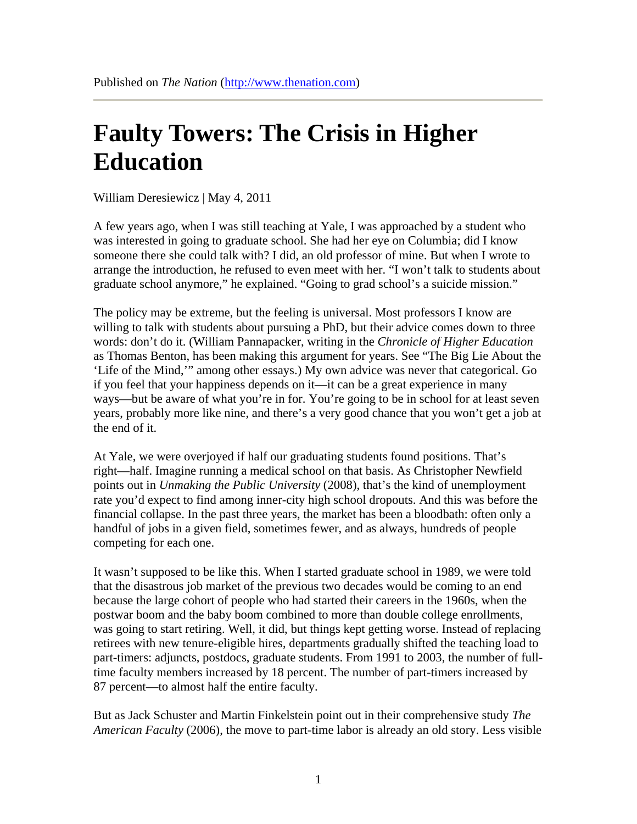## **Faulty Towers: The Crisis in Higher Education**

William Deresiewicz | May 4, 2011

A few years ago, when I was still teaching at Yale, I was approached by a student who was interested in going to graduate school. She had her eye on Columbia; did I know someone there she could talk with? I did, an old professor of mine. But when I wrote to arrange the introduction, he refused to even meet with her. "I won't talk to students about graduate school anymore," he explained. "Going to grad school's a suicide mission."

The policy may be extreme, but the feeling is universal. Most professors I know are willing to talk with students about pursuing a PhD, but their advice comes down to three words: don't do it. (William Pannapacker, writing in the *Chronicle of Higher Education* as Thomas Benton, has been making this argument for years. See "The Big Lie About the 'Life of the Mind,'" among other essays.) My own advice was never that categorical. Go if you feel that your happiness depends on it—it can be a great experience in many ways—but be aware of what you're in for. You're going to be in school for at least seven years, probably more like nine, and there's a very good chance that you won't get a job at the end of it.

At Yale, we were overjoyed if half our graduating students found positions. That's right—half. Imagine running a medical school on that basis. As Christopher Newfield points out in *Unmaking the Public University* (2008), that's the kind of unemployment rate you'd expect to find among inner-city high school dropouts. And this was before the financial collapse. In the past three years, the market has been a bloodbath: often only a handful of jobs in a given field, sometimes fewer, and as always, hundreds of people competing for each one.

It wasn't supposed to be like this. When I started graduate school in 1989, we were told that the disastrous job market of the previous two decades would be coming to an end because the large cohort of people who had started their careers in the 1960s, when the postwar boom and the baby boom combined to more than double college enrollments, was going to start retiring. Well, it did, but things kept getting worse. Instead of replacing retirees with new tenure-eligible hires, departments gradually shifted the teaching load to part-timers: adjuncts, postdocs, graduate students. From 1991 to 2003, the number of fulltime faculty members increased by 18 percent. The number of part-timers increased by 87 percent—to almost half the entire faculty.

But as Jack Schuster and Martin Finkelstein point out in their comprehensive study *The American Faculty* (2006), the move to part-time labor is already an old story. Less visible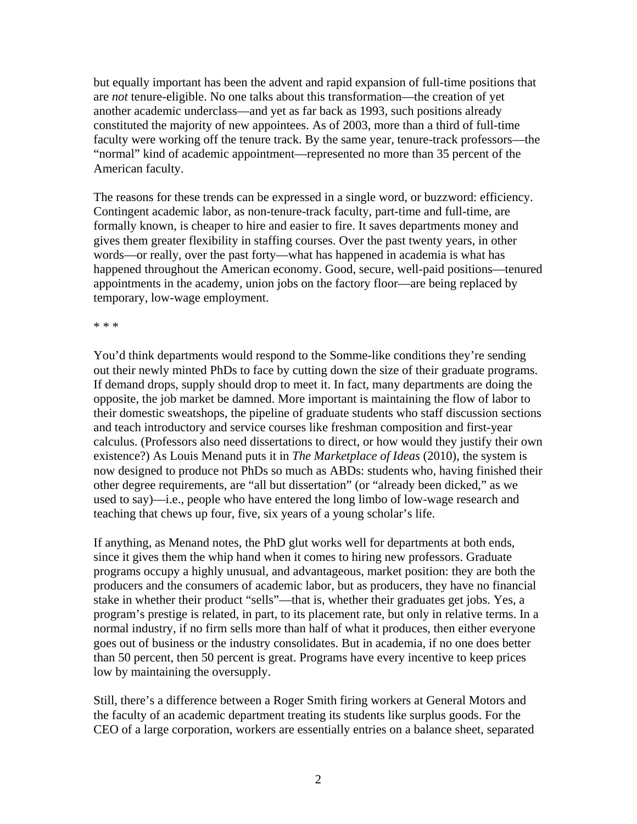but equally important has been the advent and rapid expansion of full-time positions that are *not* tenure-eligible. No one talks about this transformation—the creation of yet another academic underclass—and yet as far back as 1993, such positions already constituted the majority of new appointees. As of 2003, more than a third of full-time faculty were working off the tenure track. By the same year, tenure-track professors—the "normal" kind of academic appointment—represented no more than 35 percent of the American faculty.

The reasons for these trends can be expressed in a single word, or buzzword: efficiency. Contingent academic labor, as non-tenure-track faculty, part-time and full-time, are formally known, is cheaper to hire and easier to fire. It saves departments money and gives them greater flexibility in staffing courses. Over the past twenty years, in other words—or really, over the past forty—what has happened in academia is what has happened throughout the American economy. Good, secure, well-paid positions—tenured appointments in the academy, union jobs on the factory floor—are being replaced by temporary, low-wage employment.

\* \* \*

You'd think departments would respond to the Somme-like conditions they're sending out their newly minted PhDs to face by cutting down the size of their graduate programs. If demand drops, supply should drop to meet it. In fact, many departments are doing the opposite, the job market be damned. More important is maintaining the flow of labor to their domestic sweatshops, the pipeline of graduate students who staff discussion sections and teach introductory and service courses like freshman composition and first-year calculus. (Professors also need dissertations to direct, or how would they justify their own existence?) As Louis Menand puts it in *The Marketplace of Ideas* (2010), the system is now designed to produce not PhDs so much as ABDs: students who, having finished their other degree requirements, are "all but dissertation" (or "already been dicked," as we used to say)—i.e., people who have entered the long limbo of low-wage research and teaching that chews up four, five, six years of a young scholar's life.

If anything, as Menand notes, the PhD glut works well for departments at both ends, since it gives them the whip hand when it comes to hiring new professors. Graduate programs occupy a highly unusual, and advantageous, market position: they are both the producers and the consumers of academic labor, but as producers, they have no financial stake in whether their product "sells"—that is, whether their graduates get jobs. Yes, a program's prestige is related, in part, to its placement rate, but only in relative terms. In a normal industry, if no firm sells more than half of what it produces, then either everyone goes out of business or the industry consolidates. But in academia, if no one does better than 50 percent, then 50 percent is great. Programs have every incentive to keep prices low by maintaining the oversupply.

Still, there's a difference between a Roger Smith firing workers at General Motors and the faculty of an academic department treating its students like surplus goods. For the CEO of a large corporation, workers are essentially entries on a balance sheet, separated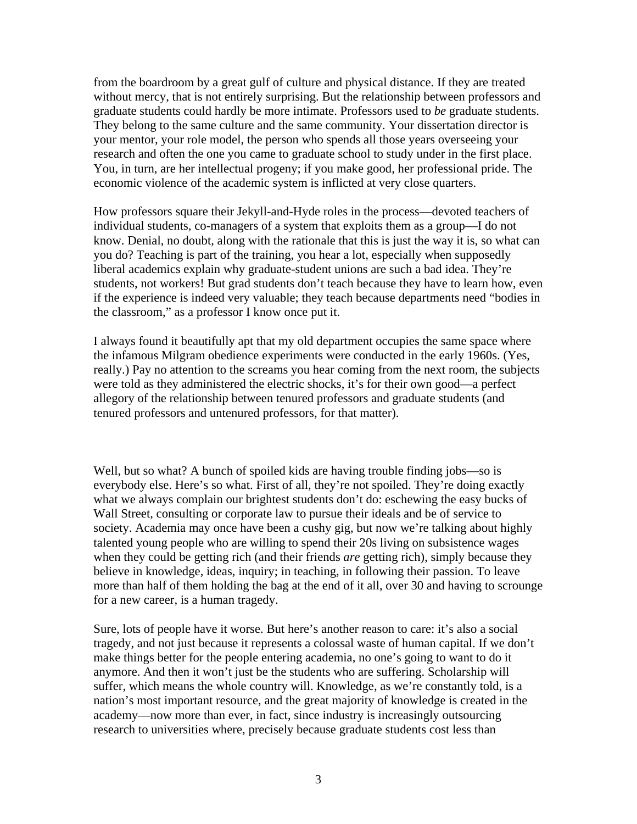from the boardroom by a great gulf of culture and physical distance. If they are treated without mercy, that is not entirely surprising. But the relationship between professors and graduate students could hardly be more intimate. Professors used to *be* graduate students. They belong to the same culture and the same community. Your dissertation director is your mentor, your role model, the person who spends all those years overseeing your research and often the one you came to graduate school to study under in the first place. You, in turn, are her intellectual progeny; if you make good, her professional pride. The economic violence of the academic system is inflicted at very close quarters.

How professors square their Jekyll-and-Hyde roles in the process—devoted teachers of individual students, co-managers of a system that exploits them as a group—I do not know. Denial, no doubt, along with the rationale that this is just the way it is, so what can you do? Teaching is part of the training, you hear a lot, especially when supposedly liberal academics explain why graduate-student unions are such a bad idea. They're students, not workers! But grad students don't teach because they have to learn how, even if the experience is indeed very valuable; they teach because departments need "bodies in the classroom," as a professor I know once put it.

I always found it beautifully apt that my old department occupies the same space where the infamous Milgram obedience experiments were conducted in the early 1960s. (Yes, really.) Pay no attention to the screams you hear coming from the next room, the subjects were told as they administered the electric shocks, it's for their own good—a perfect allegory of the relationship between tenured professors and graduate students (and tenured professors and untenured professors, for that matter).

Well, but so what? A bunch of spoiled kids are having trouble finding jobs—so is everybody else. Here's so what. First of all, they're not spoiled. They're doing exactly what we always complain our brightest students don't do: eschewing the easy bucks of Wall Street, consulting or corporate law to pursue their ideals and be of service to society. Academia may once have been a cushy gig, but now we're talking about highly talented young people who are willing to spend their 20s living on subsistence wages when they could be getting rich (and their friends *are* getting rich), simply because they believe in knowledge, ideas, inquiry; in teaching, in following their passion. To leave more than half of them holding the bag at the end of it all, over 30 and having to scrounge for a new career, is a human tragedy.

Sure, lots of people have it worse. But here's another reason to care: it's also a social tragedy, and not just because it represents a colossal waste of human capital. If we don't make things better for the people entering academia, no one's going to want to do it anymore. And then it won't just be the students who are suffering. Scholarship will suffer, which means the whole country will. Knowledge, as we're constantly told, is a nation's most important resource, and the great majority of knowledge is created in the academy—now more than ever, in fact, since industry is increasingly outsourcing research to universities where, precisely because graduate students cost less than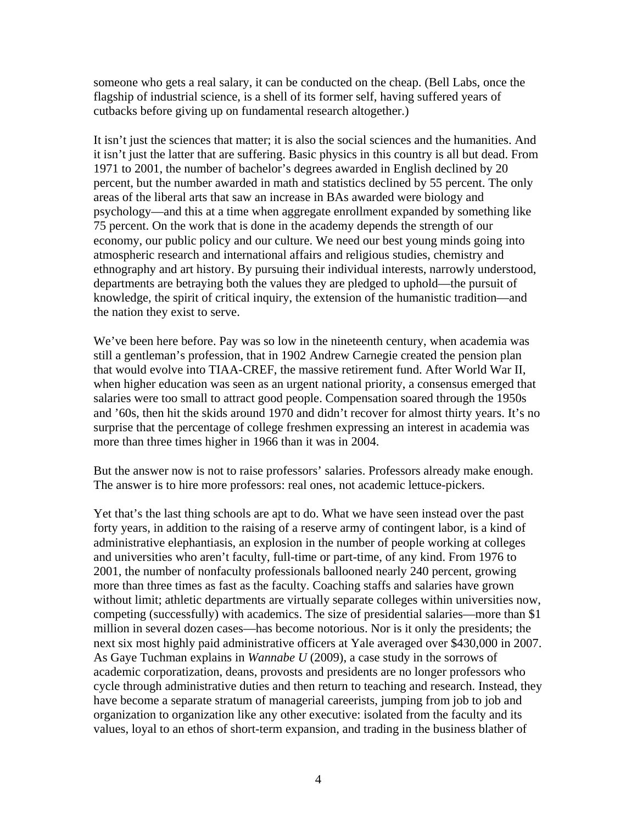someone who gets a real salary, it can be conducted on the cheap. (Bell Labs, once the flagship of industrial science, is a shell of its former self, having suffered years of cutbacks before giving up on fundamental research altogether.)

It isn't just the sciences that matter; it is also the social sciences and the humanities. And it isn't just the latter that are suffering. Basic physics in this country is all but dead. From 1971 to 2001, the number of bachelor's degrees awarded in English declined by 20 percent, but the number awarded in math and statistics declined by 55 percent. The only areas of the liberal arts that saw an increase in BAs awarded were biology and psychology—and this at a time when aggregate enrollment expanded by something like 75 percent. On the work that is done in the academy depends the strength of our economy, our public policy and our culture. We need our best young minds going into atmospheric research and international affairs and religious studies, chemistry and ethnography and art history. By pursuing their individual interests, narrowly understood, departments are betraying both the values they are pledged to uphold—the pursuit of knowledge, the spirit of critical inquiry, the extension of the humanistic tradition—and the nation they exist to serve.

We've been here before. Pay was so low in the nineteenth century, when academia was still a gentleman's profession, that in 1902 Andrew Carnegie created the pension plan that would evolve into TIAA-CREF, the massive retirement fund. After World War II, when higher education was seen as an urgent national priority, a consensus emerged that salaries were too small to attract good people. Compensation soared through the 1950s and '60s, then hit the skids around 1970 and didn't recover for almost thirty years. It's no surprise that the percentage of college freshmen expressing an interest in academia was more than three times higher in 1966 than it was in 2004.

But the answer now is not to raise professors' salaries. Professors already make enough. The answer is to hire more professors: real ones, not academic lettuce-pickers.

Yet that's the last thing schools are apt to do. What we have seen instead over the past forty years, in addition to the raising of a reserve army of contingent labor, is a kind of administrative elephantiasis, an explosion in the number of people working at colleges and universities who aren't faculty, full-time or part-time, of any kind. From 1976 to 2001, the number of nonfaculty professionals ballooned nearly 240 percent, growing more than three times as fast as the faculty. Coaching staffs and salaries have grown without limit; athletic departments are virtually separate colleges within universities now, competing (successfully) with academics. The size of presidential salaries—more than \$1 million in several dozen cases—has become notorious. Nor is it only the presidents; the next six most highly paid administrative officers at Yale averaged over \$430,000 in 2007. As Gaye Tuchman explains in *Wannabe U* (2009), a case study in the sorrows of academic corporatization, deans, provosts and presidents are no longer professors who cycle through administrative duties and then return to teaching and research. Instead, they have become a separate stratum of managerial careerists, jumping from job to job and organization to organization like any other executive: isolated from the faculty and its values, loyal to an ethos of short-term expansion, and trading in the business blather of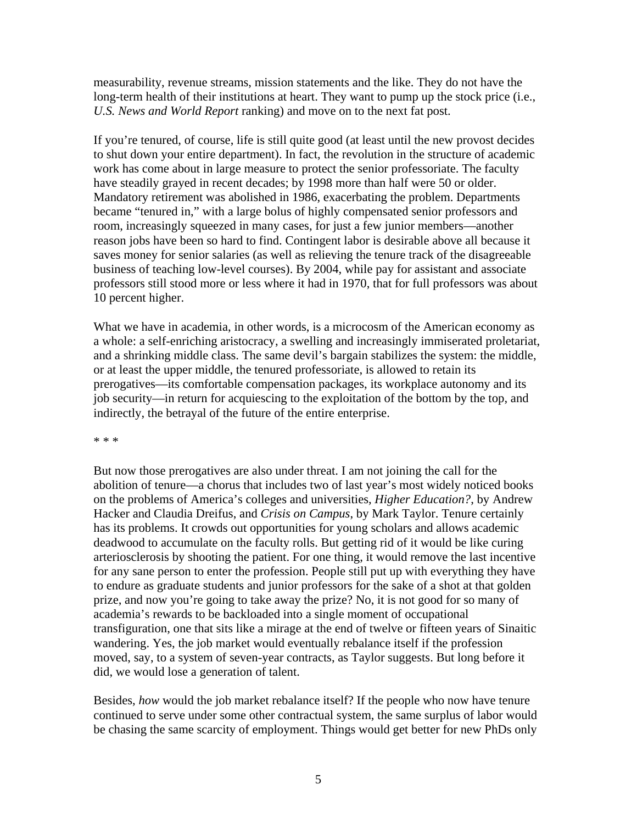measurability, revenue streams, mission statements and the like. They do not have the long-term health of their institutions at heart. They want to pump up the stock price (i.e., *U.S. News and World Report* ranking) and move on to the next fat post.

If you're tenured, of course, life is still quite good (at least until the new provost decides to shut down your entire department). In fact, the revolution in the structure of academic work has come about in large measure to protect the senior professoriate. The faculty have steadily grayed in recent decades; by 1998 more than half were 50 or older. Mandatory retirement was abolished in 1986, exacerbating the problem. Departments became "tenured in," with a large bolus of highly compensated senior professors and room, increasingly squeezed in many cases, for just a few junior members—another reason jobs have been so hard to find. Contingent labor is desirable above all because it saves money for senior salaries (as well as relieving the tenure track of the disagreeable business of teaching low-level courses). By 2004, while pay for assistant and associate professors still stood more or less where it had in 1970, that for full professors was about 10 percent higher.

What we have in academia, in other words, is a microcosm of the American economy as a whole: a self-enriching aristocracy, a swelling and increasingly immiserated proletariat, and a shrinking middle class. The same devil's bargain stabilizes the system: the middle, or at least the upper middle, the tenured professoriate, is allowed to retain its prerogatives—its comfortable compensation packages, its workplace autonomy and its job security—in return for acquiescing to the exploitation of the bottom by the top, and indirectly, the betrayal of the future of the entire enterprise.

\* \* \*

But now those prerogatives are also under threat. I am not joining the call for the abolition of tenure—a chorus that includes two of last year's most widely noticed books on the problems of America's colleges and universities, *Higher Education?*, by Andrew Hacker and Claudia Dreifus, and *Crisis on Campus*, by Mark Taylor. Tenure certainly has its problems. It crowds out opportunities for young scholars and allows academic deadwood to accumulate on the faculty rolls. But getting rid of it would be like curing arteriosclerosis by shooting the patient. For one thing, it would remove the last incentive for any sane person to enter the profession. People still put up with everything they have to endure as graduate students and junior professors for the sake of a shot at that golden prize, and now you're going to take away the prize? No, it is not good for so many of academia's rewards to be backloaded into a single moment of occupational transfiguration, one that sits like a mirage at the end of twelve or fifteen years of Sinaitic wandering. Yes, the job market would eventually rebalance itself if the profession moved, say, to a system of seven-year contracts, as Taylor suggests. But long before it did, we would lose a generation of talent.

Besides, *how* would the job market rebalance itself? If the people who now have tenure continued to serve under some other contractual system, the same surplus of labor would be chasing the same scarcity of employment. Things would get better for new PhDs only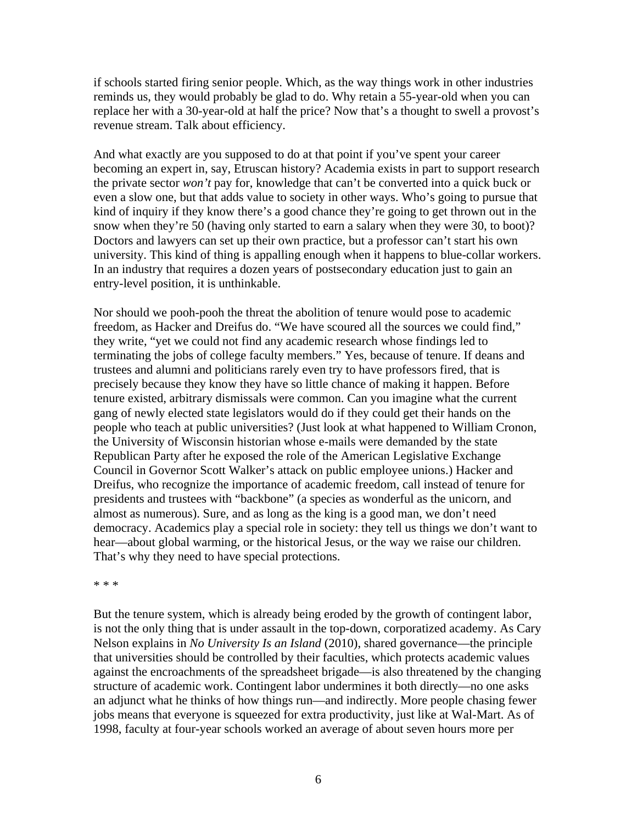if schools started firing senior people. Which, as the way things work in other industries reminds us, they would probably be glad to do. Why retain a 55-year-old when you can replace her with a 30-year-old at half the price? Now that's a thought to swell a provost's revenue stream. Talk about efficiency.

And what exactly are you supposed to do at that point if you've spent your career becoming an expert in, say, Etruscan history? Academia exists in part to support research the private sector *won't* pay for, knowledge that can't be converted into a quick buck or even a slow one, but that adds value to society in other ways. Who's going to pursue that kind of inquiry if they know there's a good chance they're going to get thrown out in the snow when they're 50 (having only started to earn a salary when they were 30, to boot)? Doctors and lawyers can set up their own practice, but a professor can't start his own university. This kind of thing is appalling enough when it happens to blue-collar workers. In an industry that requires a dozen years of postsecondary education just to gain an entry-level position, it is unthinkable.

Nor should we pooh-pooh the threat the abolition of tenure would pose to academic freedom, as Hacker and Dreifus do. "We have scoured all the sources we could find," they write, "yet we could not find any academic research whose findings led to terminating the jobs of college faculty members." Yes, because of tenure. If deans and trustees and alumni and politicians rarely even try to have professors fired, that is precisely because they know they have so little chance of making it happen. Before tenure existed, arbitrary dismissals were common. Can you imagine what the current gang of newly elected state legislators would do if they could get their hands on the people who teach at public universities? (Just look at what happened to William Cronon, the University of Wisconsin historian whose e-mails were demanded by the state Republican Party after he exposed the role of the American Legislative Exchange Council in Governor Scott Walker's attack on public employee unions.) Hacker and Dreifus, who recognize the importance of academic freedom, call instead of tenure for presidents and trustees with "backbone" (a species as wonderful as the unicorn, and almost as numerous). Sure, and as long as the king is a good man, we don't need democracy. Academics play a special role in society: they tell us things we don't want to hear—about global warming, or the historical Jesus, or the way we raise our children. That's why they need to have special protections.

\* \* \*

But the tenure system, which is already being eroded by the growth of contingent labor, is not the only thing that is under assault in the top-down, corporatized academy. As Cary Nelson explains in *No University Is an Island* (2010), shared governance—the principle that universities should be controlled by their faculties, which protects academic values against the encroachments of the spreadsheet brigade—is also threatened by the changing structure of academic work. Contingent labor undermines it both directly—no one asks an adjunct what he thinks of how things run—and indirectly. More people chasing fewer jobs means that everyone is squeezed for extra productivity, just like at Wal-Mart. As of 1998, faculty at four-year schools worked an average of about seven hours more per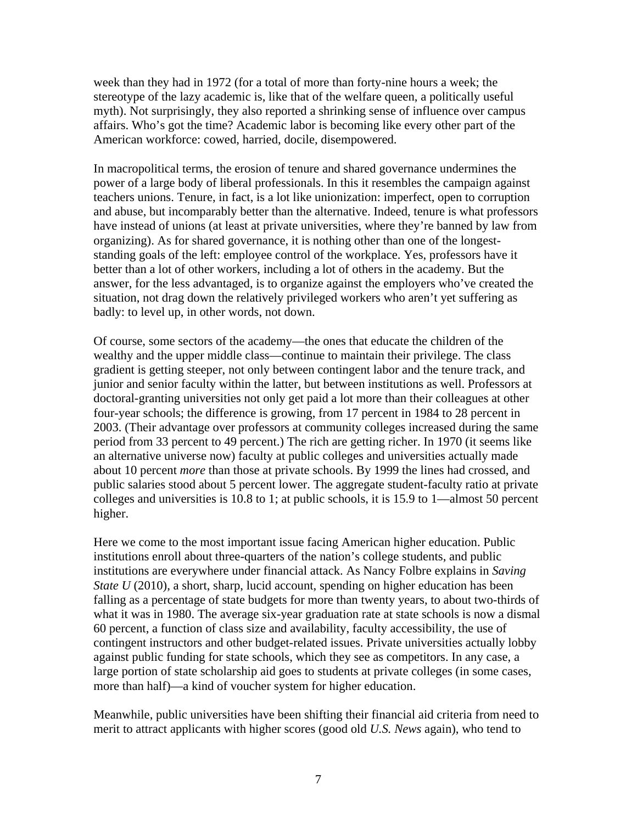week than they had in 1972 (for a total of more than forty-nine hours a week; the stereotype of the lazy academic is, like that of the welfare queen, a politically useful myth). Not surprisingly, they also reported a shrinking sense of influence over campus affairs. Who's got the time? Academic labor is becoming like every other part of the American workforce: cowed, harried, docile, disempowered.

In macropolitical terms, the erosion of tenure and shared governance undermines the power of a large body of liberal professionals. In this it resembles the campaign against teachers unions. Tenure, in fact, is a lot like unionization: imperfect, open to corruption and abuse, but incomparably better than the alternative. Indeed, tenure is what professors have instead of unions (at least at private universities, where they're banned by law from organizing). As for shared governance, it is nothing other than one of the longeststanding goals of the left: employee control of the workplace. Yes, professors have it better than a lot of other workers, including a lot of others in the academy. But the answer, for the less advantaged, is to organize against the employers who've created the situation, not drag down the relatively privileged workers who aren't yet suffering as badly: to level up, in other words, not down.

Of course, some sectors of the academy—the ones that educate the children of the wealthy and the upper middle class—continue to maintain their privilege. The class gradient is getting steeper, not only between contingent labor and the tenure track, and junior and senior faculty within the latter, but between institutions as well. Professors at doctoral-granting universities not only get paid a lot more than their colleagues at other four-year schools; the difference is growing, from 17 percent in 1984 to 28 percent in 2003. (Their advantage over professors at community colleges increased during the same period from 33 percent to 49 percent.) The rich are getting richer. In 1970 (it seems like an alternative universe now) faculty at public colleges and universities actually made about 10 percent *more* than those at private schools. By 1999 the lines had crossed, and public salaries stood about 5 percent lower. The aggregate student-faculty ratio at private colleges and universities is 10.8 to 1; at public schools, it is 15.9 to 1—almost 50 percent higher.

Here we come to the most important issue facing American higher education. Public institutions enroll about three-quarters of the nation's college students, and public institutions are everywhere under financial attack. As Nancy Folbre explains in *Saving State U* (2010), a short, sharp, lucid account, spending on higher education has been falling as a percentage of state budgets for more than twenty years, to about two-thirds of what it was in 1980. The average six-year graduation rate at state schools is now a dismal 60 percent, a function of class size and availability, faculty accessibility, the use of contingent instructors and other budget-related issues. Private universities actually lobby against public funding for state schools, which they see as competitors. In any case, a large portion of state scholarship aid goes to students at private colleges (in some cases, more than half)—a kind of voucher system for higher education.

Meanwhile, public universities have been shifting their financial aid criteria from need to merit to attract applicants with higher scores (good old *U.S. News* again), who tend to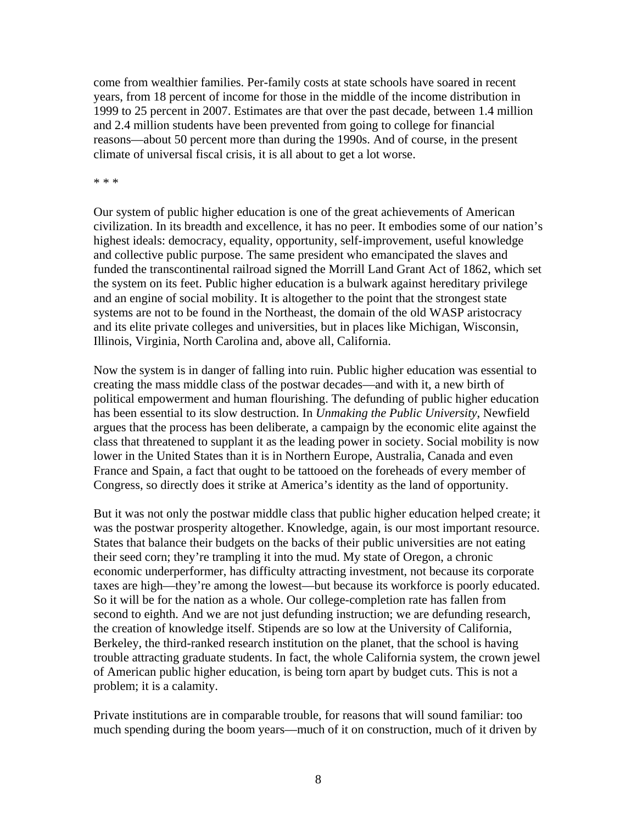come from wealthier families. Per-family costs at state schools have soared in recent years, from 18 percent of income for those in the middle of the income distribution in 1999 to 25 percent in 2007. Estimates are that over the past decade, between 1.4 million and 2.4 million students have been prevented from going to college for financial reasons—about 50 percent more than during the 1990s. And of course, in the present climate of universal fiscal crisis, it is all about to get a lot worse.

\* \* \*

Our system of public higher education is one of the great achievements of American civilization. In its breadth and excellence, it has no peer. It embodies some of our nation's highest ideals: democracy, equality, opportunity, self-improvement, useful knowledge and collective public purpose. The same president who emancipated the slaves and funded the transcontinental railroad signed the Morrill Land Grant Act of 1862, which set the system on its feet. Public higher education is a bulwark against hereditary privilege and an engine of social mobility. It is altogether to the point that the strongest state systems are not to be found in the Northeast, the domain of the old WASP aristocracy and its elite private colleges and universities, but in places like Michigan, Wisconsin, Illinois, Virginia, North Carolina and, above all, California.

Now the system is in danger of falling into ruin. Public higher education was essential to creating the mass middle class of the postwar decades—and with it, a new birth of political empowerment and human flourishing. The defunding of public higher education has been essential to its slow destruction. In *Unmaking the Public University*, Newfield argues that the process has been deliberate, a campaign by the economic elite against the class that threatened to supplant it as the leading power in society. Social mobility is now lower in the United States than it is in Northern Europe, Australia, Canada and even France and Spain, a fact that ought to be tattooed on the foreheads of every member of Congress, so directly does it strike at America's identity as the land of opportunity.

But it was not only the postwar middle class that public higher education helped create; it was the postwar prosperity altogether. Knowledge, again, is our most important resource. States that balance their budgets on the backs of their public universities are not eating their seed corn; they're trampling it into the mud. My state of Oregon, a chronic economic underperformer, has difficulty attracting investment, not because its corporate taxes are high—they're among the lowest—but because its workforce is poorly educated. So it will be for the nation as a whole. Our college-completion rate has fallen from second to eighth. And we are not just defunding instruction; we are defunding research, the creation of knowledge itself. Stipends are so low at the University of California, Berkeley, the third-ranked research institution on the planet, that the school is having trouble attracting graduate students. In fact, the whole California system, the crown jewel of American public higher education, is being torn apart by budget cuts. This is not a problem; it is a calamity.

Private institutions are in comparable trouble, for reasons that will sound familiar: too much spending during the boom years—much of it on construction, much of it driven by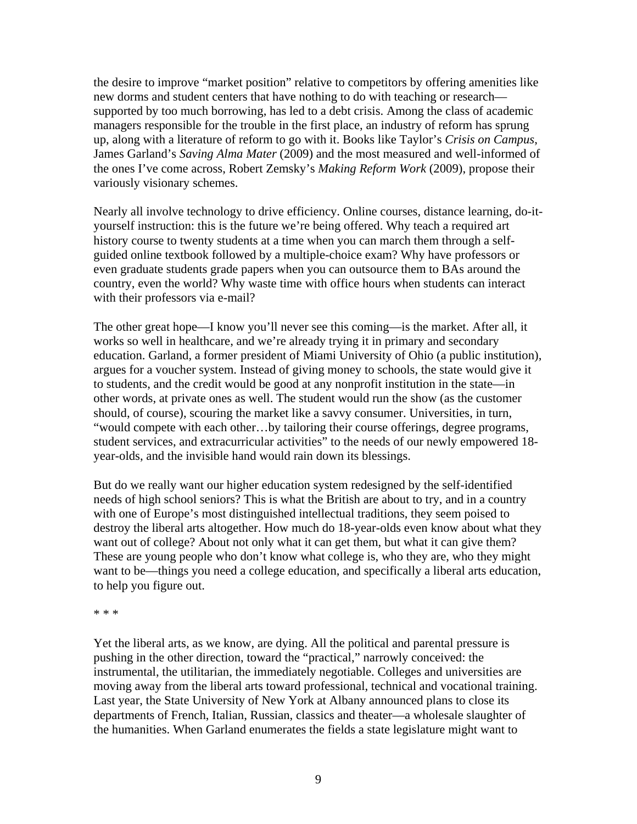the desire to improve "market position" relative to competitors by offering amenities like new dorms and student centers that have nothing to do with teaching or research supported by too much borrowing, has led to a debt crisis. Among the class of academic managers responsible for the trouble in the first place, an industry of reform has sprung up, along with a literature of reform to go with it. Books like Taylor's *Crisis on Campus*, James Garland's *Saving Alma Mater* (2009) and the most measured and well-informed of the ones I've come across, Robert Zemsky's *Making Reform Work* (2009), propose their variously visionary schemes.

Nearly all involve technology to drive efficiency. Online courses, distance learning, do-ityourself instruction: this is the future we're being offered. Why teach a required art history course to twenty students at a time when you can march them through a selfguided online textbook followed by a multiple-choice exam? Why have professors or even graduate students grade papers when you can outsource them to BAs around the country, even the world? Why waste time with office hours when students can interact with their professors via e-mail?

The other great hope—I know you'll never see this coming—is the market. After all, it works so well in healthcare, and we're already trying it in primary and secondary education. Garland, a former president of Miami University of Ohio (a public institution), argues for a voucher system. Instead of giving money to schools, the state would give it to students, and the credit would be good at any nonprofit institution in the state—in other words, at private ones as well. The student would run the show (as the customer should, of course), scouring the market like a savvy consumer. Universities, in turn, "would compete with each other…by tailoring their course offerings, degree programs, student services, and extracurricular activities" to the needs of our newly empowered 18 year-olds, and the invisible hand would rain down its blessings.

But do we really want our higher education system redesigned by the self-identified needs of high school seniors? This is what the British are about to try, and in a country with one of Europe's most distinguished intellectual traditions, they seem poised to destroy the liberal arts altogether. How much do 18-year-olds even know about what they want out of college? About not only what it can get them, but what it can give them? These are young people who don't know what college is, who they are, who they might want to be—things you need a college education, and specifically a liberal arts education, to help you figure out.

\* \* \*

Yet the liberal arts, as we know, are dying. All the political and parental pressure is pushing in the other direction, toward the "practical," narrowly conceived: the instrumental, the utilitarian, the immediately negotiable. Colleges and universities are moving away from the liberal arts toward professional, technical and vocational training. Last year, the State University of New York at Albany announced plans to close its departments of French, Italian, Russian, classics and theater—a wholesale slaughter of the humanities. When Garland enumerates the fields a state legislature might want to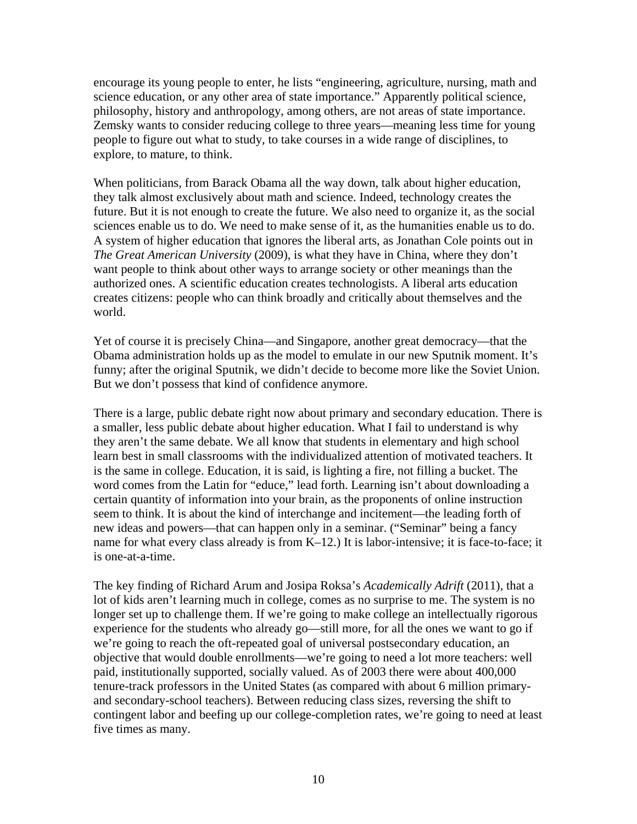encourage its young people to enter, he lists "engineering, agriculture, nursing, math and science education, or any other area of state importance." Apparently political science, philosophy, history and anthropology, among others, are not areas of state importance. Zemsky wants to consider reducing college to three years—meaning less time for young people to figure out what to study, to take courses in a wide range of disciplines, to explore, to mature, to think.

When politicians, from Barack Obama all the way down, talk about higher education, they talk almost exclusively about math and science. Indeed, technology creates the future. But it is not enough to create the future. We also need to organize it, as the social sciences enable us to do. We need to make sense of it, as the humanities enable us to do. A system of higher education that ignores the liberal arts, as Jonathan Cole points out in *The Great American University* (2009), is what they have in China, where they don't want people to think about other ways to arrange society or other meanings than the authorized ones. A scientific education creates technologists. A liberal arts education creates citizens: people who can think broadly and critically about themselves and the world.

Yet of course it is precisely China—and Singapore, another great democracy—that the Obama administration holds up as the model to emulate in our new Sputnik moment. It's funny; after the original Sputnik, we didn't decide to become more like the Soviet Union. But we don't possess that kind of confidence anymore.

There is a large, public debate right now about primary and secondary education. There is a smaller, less public debate about higher education. What I fail to understand is why they aren't the same debate. We all know that students in elementary and high school learn best in small classrooms with the individualized attention of motivated teachers. It is the same in college. Education, it is said, is lighting a fire, not filling a bucket. The word comes from the Latin for "educe," lead forth. Learning isn't about downloading a certain quantity of information into your brain, as the proponents of online instruction seem to think. It is about the kind of interchange and incitement—the leading forth of new ideas and powers—that can happen only in a seminar. ("Seminar" being a fancy name for what every class already is from K–12.) It is labor-intensive; it is face-to-face; it is one-at-a-time.

The key finding of Richard Arum and Josipa Roksa's *Academically Adrift* (2011), that a lot of kids aren't learning much in college, comes as no surprise to me. The system is no longer set up to challenge them. If we're going to make college an intellectually rigorous experience for the students who already go—still more, for all the ones we want to go if we're going to reach the oft-repeated goal of universal postsecondary education, an objective that would double enrollments—we're going to need a lot more teachers: well paid, institutionally supported, socially valued. As of 2003 there were about 400,000 tenure-track professors in the United States (as compared with about 6 million primaryand secondary-school teachers). Between reducing class sizes, reversing the shift to contingent labor and beefing up our college-completion rates, we're going to need at least five times as many.